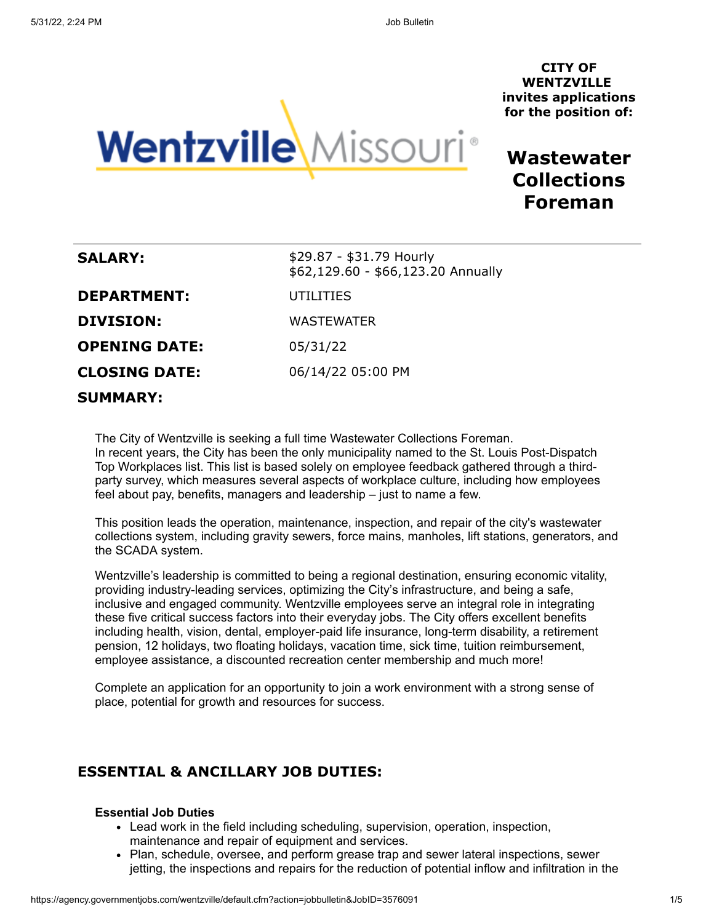**CITY OF WENTZVILLE invites applications for the position of:**



**Wastewater Collections Foreman**

| <b>SALARY:</b>       | \$29.87 - \$31.79 Hourly<br>\$62,129.60 - \$66,123.20 Annually |
|----------------------|----------------------------------------------------------------|
| <b>DEPARTMENT:</b>   | UTILITIES                                                      |
| <b>DIVISION:</b>     | <b>WASTEWATER</b>                                              |
| <b>OPENING DATE:</b> | 05/31/22                                                       |
| <b>CLOSING DATE:</b> | 06/14/22 05:00 PM                                              |
| <b>SUMMARY:</b>      |                                                                |

The City of Wentzville is seeking a full time Wastewater Collections Foreman. In recent years, the City has been the only municipality named to the St. Louis Post-Dispatch Top Workplaces list. This list is based solely on employee feedback gathered through a thirdparty survey, which measures several aspects of workplace culture, including how employees feel about pay, benefits, managers and leadership – just to name a few.

This position leads the operation, maintenance, inspection, and repair of the city's wastewater collections system, including gravity sewers, force mains, manholes, lift stations, generators, and the SCADA system.

Wentzville's leadership is committed to being a regional destination, ensuring economic vitality, providing industry-leading services, optimizing the City's infrastructure, and being a safe, inclusive and engaged community. Wentzville employees serve an integral role in integrating these five critical success factors into their everyday jobs. The City offers excellent benefits including health, vision, dental, employer-paid life insurance, long-term disability, a retirement pension, 12 holidays, two floating holidays, vacation time, sick time, tuition reimbursement, employee assistance, a discounted recreation center membership and much more!

Complete an application for an opportunity to join a work environment with a strong sense of place, potential for growth and resources for success.

# **ESSENTIAL & ANCILLARY JOB DUTIES:**

#### **Essential Job Duties**

- Lead work in the field including scheduling, supervision, operation, inspection, maintenance and repair of equipment and services.
- Plan, schedule, oversee, and perform grease trap and sewer lateral inspections, sewer jetting, the inspections and repairs for the reduction of potential inflow and infiltration in the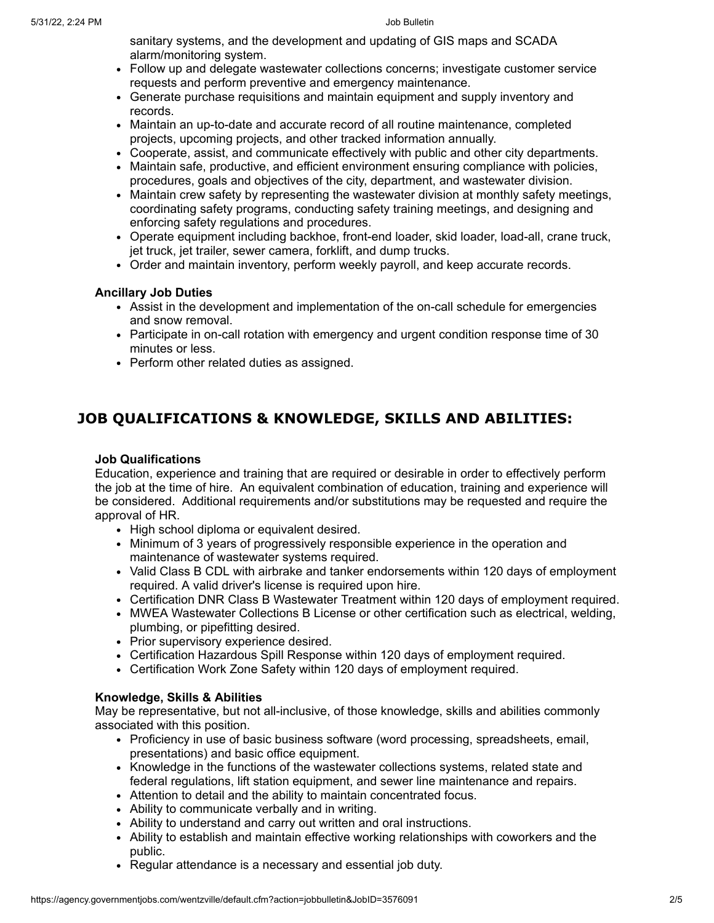sanitary systems, and the development and updating of GIS maps and SCADA alarm/monitoring system.

- Follow up and delegate wastewater collections concerns; investigate customer service requests and perform preventive and emergency maintenance.
- Generate purchase requisitions and maintain equipment and supply inventory and records.
- Maintain an up-to-date and accurate record of all routine maintenance, completed projects, upcoming projects, and other tracked information annually.
- Cooperate, assist, and communicate effectively with public and other city departments.
- Maintain safe, productive, and efficient environment ensuring compliance with policies, procedures, goals and objectives of the city, department, and wastewater division.
- Maintain crew safety by representing the wastewater division at monthly safety meetings, coordinating safety programs, conducting safety training meetings, and designing and enforcing safety regulations and procedures.
- Operate equipment including backhoe, front-end loader, skid loader, load-all, crane truck, jet truck, jet trailer, sewer camera, forklift, and dump trucks.
- Order and maintain inventory, perform weekly payroll, and keep accurate records.

### **Ancillary Job Duties**

- Assist in the development and implementation of the on-call schedule for emergencies and snow removal.
- Participate in on-call rotation with emergency and urgent condition response time of 30 minutes or less.
- Perform other related duties as assigned.

# **JOB QUALIFICATIONS & KNOWLEDGE, SKILLS AND ABILITIES:**

#### **Job Qualifications**

Education, experience and training that are required or desirable in order to effectively perform the job at the time of hire. An equivalent combination of education, training and experience will be considered. Additional requirements and/or substitutions may be requested and require the approval of HR.

- High school diploma or equivalent desired.
- Minimum of 3 years of progressively responsible experience in the operation and maintenance of wastewater systems required.
- Valid Class B CDL with airbrake and tanker endorsements within 120 days of employment required. A valid driver's license is required upon hire.
- Certification DNR Class B Wastewater Treatment within 120 days of employment required.
- MWEA Wastewater Collections B License or other certification such as electrical, welding, plumbing, or pipefitting desired.
- Prior supervisory experience desired.
- Certification Hazardous Spill Response within 120 days of employment required.
- Certification Work Zone Safety within 120 days of employment required.

# **Knowledge, Skills & Abilities**

May be representative, but not all-inclusive, of those knowledge, skills and abilities commonly associated with this position.

- Proficiency in use of basic business software (word processing, spreadsheets, email, presentations) and basic office equipment.
- Knowledge in the functions of the wastewater collections systems, related state and federal regulations, lift station equipment, and sewer line maintenance and repairs.
- Attention to detail and the ability to maintain concentrated focus.
- Ability to communicate verbally and in writing.
- Ability to understand and carry out written and oral instructions.
- Ability to establish and maintain effective working relationships with coworkers and the public.
- Regular attendance is a necessary and essential job duty.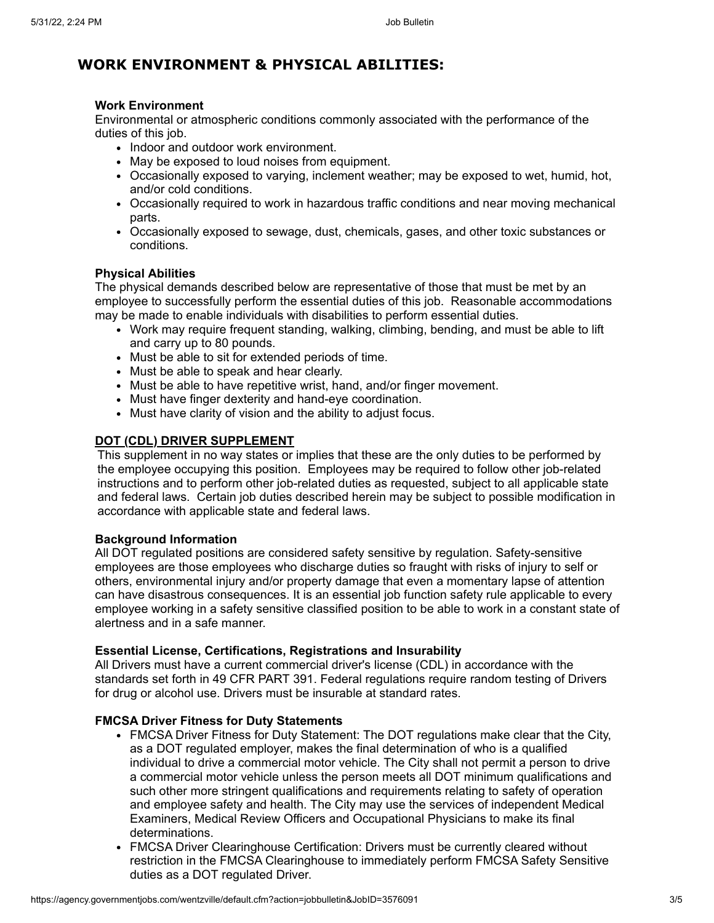# **WORK ENVIRONMENT & PHYSICAL ABILITIES:**

### **Work Environment**

Environmental or atmospheric conditions commonly associated with the performance of the duties of this job.

- Indoor and outdoor work environment.
- May be exposed to loud noises from equipment.
- Occasionally exposed to varying, inclement weather; may be exposed to wet, humid, hot, and/or cold conditions.
- Occasionally required to work in hazardous traffic conditions and near moving mechanical parts.
- Occasionally exposed to sewage, dust, chemicals, gases, and other toxic substances or conditions.

### **Physical Abilities**

The physical demands described below are representative of those that must be met by an employee to successfully perform the essential duties of this job. Reasonable accommodations may be made to enable individuals with disabilities to perform essential duties.

- Work may require frequent standing, walking, climbing, bending, and must be able to lift and carry up to 80 pounds.
- Must be able to sit for extended periods of time.
- Must be able to speak and hear clearly.
- Must be able to have repetitive wrist, hand, and/or finger movement.
- Must have finger dexterity and hand-eye coordination.
- Must have clarity of vision and the ability to adjust focus.

# **DOT (CDL) DRIVER SUPPLEMENT**

This supplement in no way states or implies that these are the only duties to be performed by the employee occupying this position. Employees may be required to follow other job-related instructions and to perform other job-related duties as requested, subject to all applicable state and federal laws. Certain job duties described herein may be subject to possible modification in accordance with applicable state and federal laws.

#### **Background Information**

All DOT regulated positions are considered safety sensitive by regulation. Safety-sensitive employees are those employees who discharge duties so fraught with risks of injury to self or others, environmental injury and/or property damage that even a momentary lapse of attention can have disastrous consequences. It is an essential job function safety rule applicable to every employee working in a safety sensitive classified position to be able to work in a constant state of alertness and in a safe manner.

#### **Essential License, Certifications, Registrations and Insurability**

All Drivers must have a current commercial driver's license (CDL) in accordance with the standards set forth in 49 CFR PART 391. Federal regulations require random testing of Drivers for drug or alcohol use. Drivers must be insurable at standard rates.

# **FMCSA Driver Fitness for Duty Statements**

- FMCSA Driver Fitness for Duty Statement: The DOT regulations make clear that the City, as a DOT regulated employer, makes the final determination of who is a qualified individual to drive a commercial motor vehicle. The City shall not permit a person to drive a commercial motor vehicle unless the person meets all DOT minimum qualifications and such other more stringent qualifications and requirements relating to safety of operation and employee safety and health. The City may use the services of independent Medical Examiners, Medical Review Officers and Occupational Physicians to make its final determinations.
- FMCSA Driver Clearinghouse Certification: Drivers must be currently cleared without restriction in the FMCSA Clearinghouse to immediately perform FMCSA Safety Sensitive duties as a DOT regulated Driver.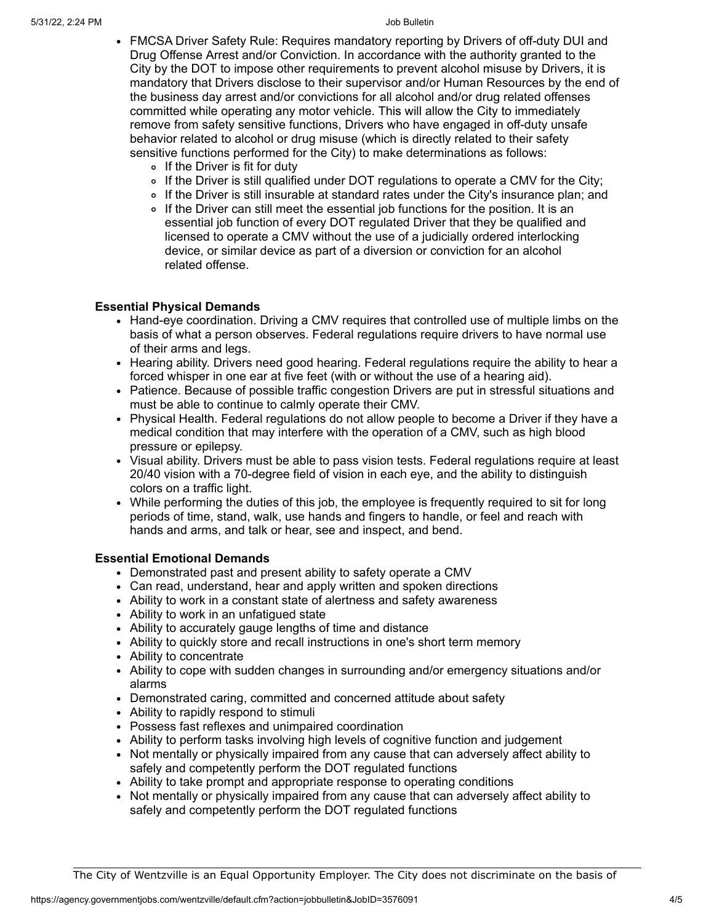- FMCSA Driver Safety Rule: Requires mandatory reporting by Drivers of off-duty DUI and Drug Offense Arrest and/or Conviction. In accordance with the authority granted to the City by the DOT to impose other requirements to prevent alcohol misuse by Drivers, it is mandatory that Drivers disclose to their supervisor and/or Human Resources by the end of the business day arrest and/or convictions for all alcohol and/or drug related offenses committed while operating any motor vehicle. This will allow the City to immediately remove from safety sensitive functions, Drivers who have engaged in off-duty unsafe behavior related to alcohol or drug misuse (which is directly related to their safety sensitive functions performed for the City) to make determinations as follows:
	- $\circ$  If the Driver is fit for duty
	- If the Driver is still qualified under DOT regulations to operate a CMV for the City;
	- If the Driver is still insurable at standard rates under the City's insurance plan; and
	- If the Driver can still meet the essential job functions for the position. It is an essential job function of every DOT regulated Driver that they be qualified and licensed to operate a CMV without the use of a judicially ordered interlocking device, or similar device as part of a diversion or conviction for an alcohol related offense.

### **Essential Physical Demands**

- Hand-eye coordination. Driving a CMV requires that controlled use of multiple limbs on the basis of what a person observes. Federal regulations require drivers to have normal use of their arms and legs.
- Hearing ability. Drivers need good hearing. Federal regulations require the ability to hear a forced whisper in one ear at five feet (with or without the use of a hearing aid).
- Patience. Because of possible traffic congestion Drivers are put in stressful situations and must be able to continue to calmly operate their CMV.
- Physical Health. Federal regulations do not allow people to become a Driver if they have a medical condition that may interfere with the operation of a CMV, such as high blood pressure or epilepsy.
- Visual ability. Drivers must be able to pass vision tests. Federal regulations require at least 20/40 vision with a 70-degree field of vision in each eye, and the ability to distinguish colors on a traffic light.
- While performing the duties of this job, the employee is frequently required to sit for long periods of time, stand, walk, use hands and fingers to handle, or feel and reach with hands and arms, and talk or hear, see and inspect, and bend.

# **Essential Emotional Demands**

- Demonstrated past and present ability to safety operate a CMV
- Can read, understand, hear and apply written and spoken directions
- Ability to work in a constant state of alertness and safety awareness
- Ability to work in an unfatigued state
- Ability to accurately gauge lengths of time and distance
- Ability to quickly store and recall instructions in one's short term memory
- Ability to concentrate
- Ability to cope with sudden changes in surrounding and/or emergency situations and/or alarms
- Demonstrated caring, committed and concerned attitude about safety
- Ability to rapidly respond to stimuli
- Possess fast reflexes and unimpaired coordination
- Ability to perform tasks involving high levels of cognitive function and judgement
- Not mentally or physically impaired from any cause that can adversely affect ability to safely and competently perform the DOT regulated functions
- Ability to take prompt and appropriate response to operating conditions
- Not mentally or physically impaired from any cause that can adversely affect ability to safely and competently perform the DOT regulated functions